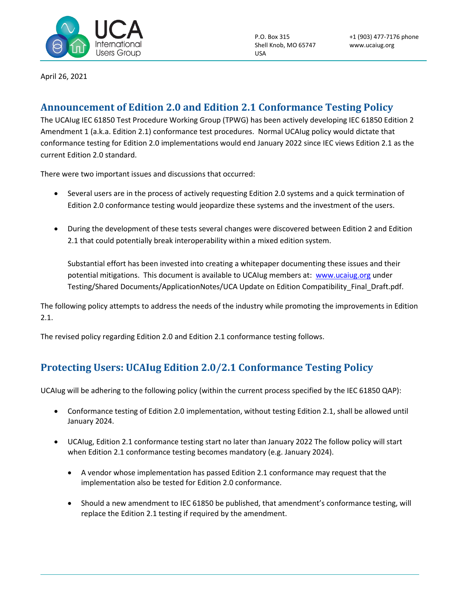

P.O. Box 315 Shell Knob, MO 65747 USA

April 26, 2021

## **Announcement of Edition 2.0 and Edition 2.1 Conformance Testing Policy**

The UCAIug IEC 61850 Test Procedure Working Group (TPWG) has been actively developing IEC 61850 Edition 2 Amendment 1 (a.k.a. Edition 2.1) conformance test procedures. Normal UCAIug policy would dictate that conformance testing for Edition 2.0 implementations would end January 2022 since IEC views Edition 2.1 as the current Edition 2.0 standard.

There were two important issues and discussions that occurred:

- Several users are in the process of actively requesting Edition 2.0 systems and a quick termination of Edition 2.0 conformance testing would jeopardize these systems and the investment of the users.
- During the development of these tests several changes were discovered between Edition 2 and Edition 2.1 that could potentially break interoperability within a mixed edition system.

Substantial effort has been invested into creating a whitepaper documenting these issues and their potential mitigations. This document is available to UCAIug members at: [www.ucaiug.org](http://www.ucaiug.org/) under Testing/Shared Documents/ApplicationNotes/UCA Update on Edition Compatibility\_Final\_Draft.pdf.

The following policy attempts to address the needs of the industry while promoting the improvements in Edition 2.1.

The revised policy regarding Edition 2.0 and Edition 2.1 conformance testing follows.

## **Protecting Users: UCAIug Edition 2.0/2.1 Conformance Testing Policy**

UCAIug will be adhering to the following policy (within the current process specified by the IEC 61850 QAP):

- Conformance testing of Edition 2.0 implementation, without testing Edition 2.1, shall be allowed until January 2024.
- UCAIug, Edition 2.1 conformance testing start no later than January 2022 The follow policy will start when Edition 2.1 conformance testing becomes mandatory (e.g. January 2024).
	- A vendor whose implementation has passed Edition 2.1 conformance may request that the implementation also be tested for Edition 2.0 conformance.
	- Should a new amendment to IEC 61850 be published, that amendment's conformance testing, will replace the Edition 2.1 testing if required by the amendment.